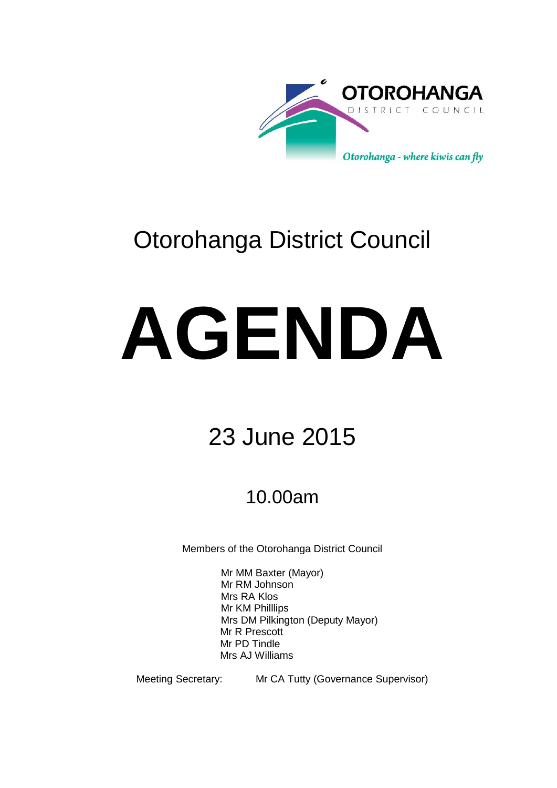

# Otorohanga District Council

# **AGENDA**

# 23 June 2015

## 10.00am

Members of the Otorohanga District Council

Mr MM Baxter (Mayor) Mr RM Johnson Mrs RA Klos Mr KM Philllips Mrs DM Pilkington (Deputy Mayor) Mr R Prescott Mr PD Tindle Mrs AJ Williams

Meeting Secretary: Mr CA Tutty (Governance Supervisor)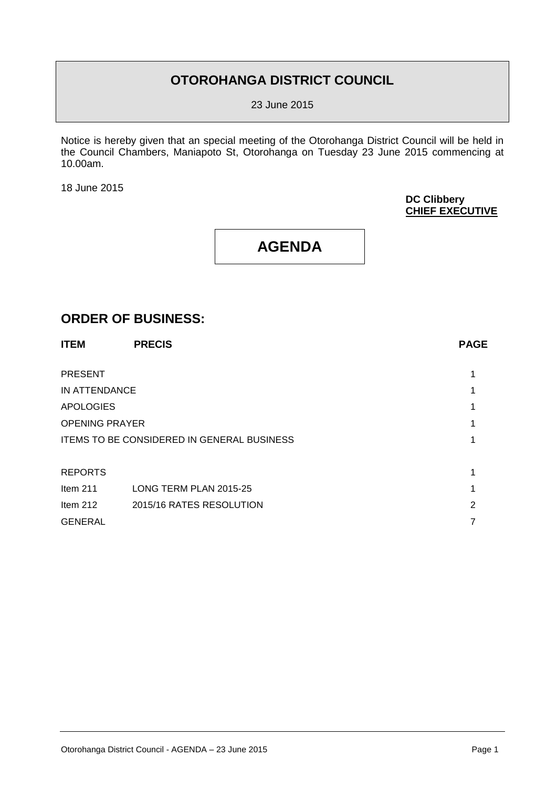## **OTOROHANGA DISTRICT COUNCIL**

23 June 2015

Notice is hereby given that an special meeting of the Otorohanga District Council will be held in the Council Chambers, Maniapoto St, Otorohanga on Tuesday 23 June 2015 commencing at 10.00am.

18 June 2015

#### **DC Clibbery CHIEF EXECUTIVE**

## **AGENDA**

### **ORDER OF BUSINESS:**

| <b>ITEM</b>                                | <b>PRECIS</b>            | <b>PAGE</b> |
|--------------------------------------------|--------------------------|-------------|
|                                            |                          |             |
| <b>PRESENT</b>                             |                          |             |
| IN ATTENDANCE                              |                          |             |
| <b>APOLOGIES</b>                           |                          |             |
| <b>OPENING PRAYER</b>                      |                          |             |
| ITEMS TO BE CONSIDERED IN GENERAL BUSINESS |                          |             |
|                                            |                          |             |
| <b>REPORTS</b>                             |                          |             |
| Item $211$                                 | LONG TERM PLAN 2015-25   |             |
| Item $212$                                 | 2015/16 RATES RESOLUTION | 2           |
| <b>GENERAL</b>                             |                          |             |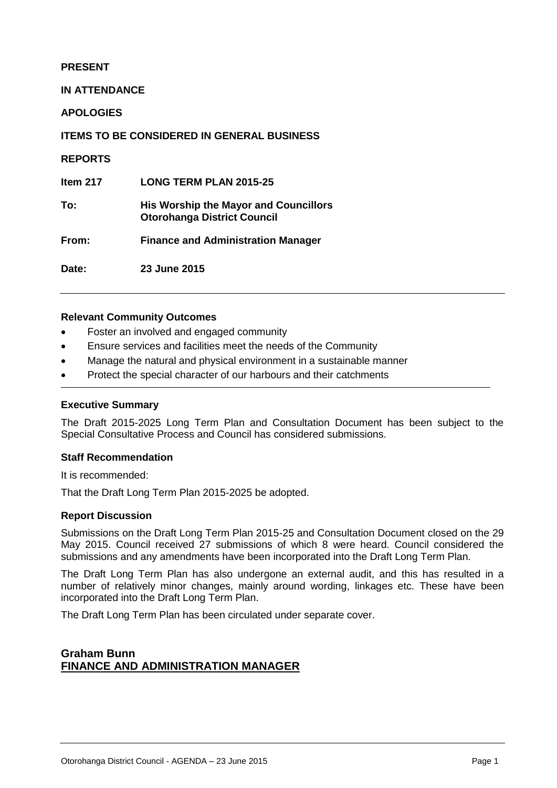#### **PRESENT**

#### **IN ATTENDANCE**

**APOLOGIES**

**ITEMS TO BE CONSIDERED IN GENERAL BUSINESS**

**REPORTS**

**Item 217 LONG TERM PLAN 2015-25**

**To: His Worship the Mayor and Councillors Otorohanga District Council**

**From: Finance and Administration Manager**

**Date: 23 June 2015** 

#### **Relevant Community Outcomes**

- Foster an involved and engaged community
- Ensure services and facilities meet the needs of the Community
- Manage the natural and physical environment in a sustainable manner
- Protect the special character of our harbours and their catchments

#### **Executive Summary**

The Draft 2015-2025 Long Term Plan and Consultation Document has been subject to the Special Consultative Process and Council has considered submissions.

#### **Staff Recommendation**

It is recommended:

That the Draft Long Term Plan 2015-2025 be adopted.

#### **Report Discussion**

Submissions on the Draft Long Term Plan 2015-25 and Consultation Document closed on the 29 May 2015. Council received 27 submissions of which 8 were heard. Council considered the submissions and any amendments have been incorporated into the Draft Long Term Plan.

The Draft Long Term Plan has also undergone an external audit, and this has resulted in a number of relatively minor changes, mainly around wording, linkages etc. These have been incorporated into the Draft Long Term Plan.

The Draft Long Term Plan has been circulated under separate cover.

#### **Graham Bunn FINANCE AND ADMINISTRATION MANAGER**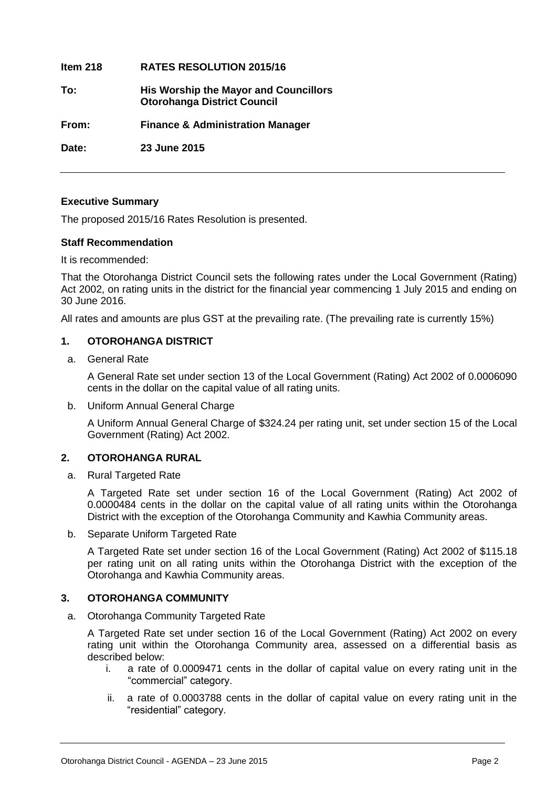**Item 218 RATES RESOLUTION 2015/16 To: His Worship the Mayor and Councillors Otorohanga District Council From: Finance & Administration Manager Date: 23 June 2015**

#### **Executive Summary**

The proposed 2015/16 Rates Resolution is presented.

#### **Staff Recommendation**

It is recommended:

That the Otorohanga District Council sets the following rates under the Local Government (Rating) Act 2002, on rating units in the district for the financial year commencing 1 July 2015 and ending on 30 June 2016.

All rates and amounts are plus GST at the prevailing rate. (The prevailing rate is currently 15%)

#### **1. OTOROHANGA DISTRICT**

a. General Rate

A General Rate set under section 13 of the Local Government (Rating) Act 2002 of 0.0006090 cents in the dollar on the capital value of all rating units.

#### b. Uniform Annual General Charge

A Uniform Annual General Charge of \$324.24 per rating unit, set under section 15 of the Local Government (Rating) Act 2002.

#### **2. OTOROHANGA RURAL**

a. Rural Targeted Rate

A Targeted Rate set under section 16 of the Local Government (Rating) Act 2002 of 0.0000484 cents in the dollar on the capital value of all rating units within the Otorohanga District with the exception of the Otorohanga Community and Kawhia Community areas.

b. Separate Uniform Targeted Rate

A Targeted Rate set under section 16 of the Local Government (Rating) Act 2002 of \$115.18 per rating unit on all rating units within the Otorohanga District with the exception of the Otorohanga and Kawhia Community areas.

#### **3. OTOROHANGA COMMUNITY**

a. Otorohanga Community Targeted Rate

A Targeted Rate set under section 16 of the Local Government (Rating) Act 2002 on every rating unit within the Otorohanga Community area, assessed on a differential basis as described below:

- i. a rate of 0.0009471 cents in the dollar of capital value on every rating unit in the "commercial" category.
- ii. a rate of 0.0003788 cents in the dollar of capital value on every rating unit in the "residential" category.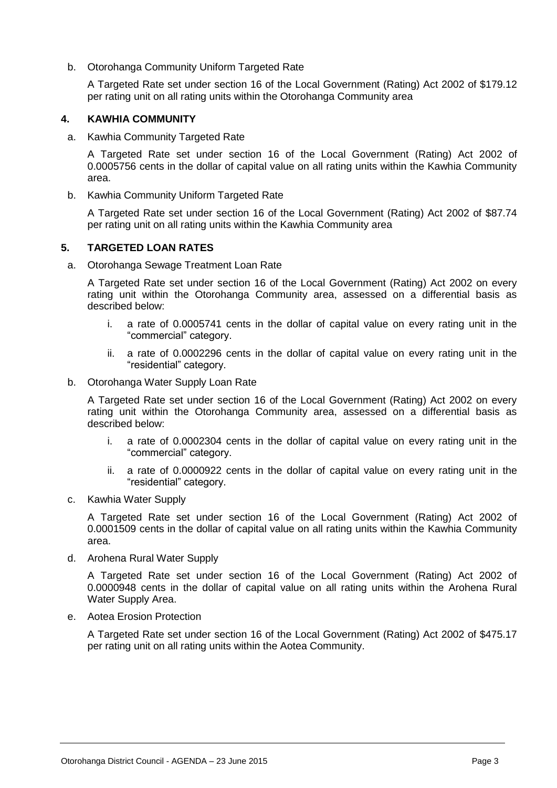b. Otorohanga Community Uniform Targeted Rate

A Targeted Rate set under section 16 of the Local Government (Rating) Act 2002 of \$179.12 per rating unit on all rating units within the Otorohanga Community area

#### **4. KAWHIA COMMUNITY**

a. Kawhia Community Targeted Rate

A Targeted Rate set under section 16 of the Local Government (Rating) Act 2002 of 0.0005756 cents in the dollar of capital value on all rating units within the Kawhia Community area.

b. Kawhia Community Uniform Targeted Rate

A Targeted Rate set under section 16 of the Local Government (Rating) Act 2002 of \$87.74 per rating unit on all rating units within the Kawhia Community area

#### **5. TARGETED LOAN RATES**

a. Otorohanga Sewage Treatment Loan Rate

A Targeted Rate set under section 16 of the Local Government (Rating) Act 2002 on every rating unit within the Otorohanga Community area, assessed on a differential basis as described below:

- i. a rate of 0.0005741 cents in the dollar of capital value on every rating unit in the "commercial" category.
- ii. a rate of 0.0002296 cents in the dollar of capital value on every rating unit in the "residential" category.
- b. Otorohanga Water Supply Loan Rate

A Targeted Rate set under section 16 of the Local Government (Rating) Act 2002 on every rating unit within the Otorohanga Community area, assessed on a differential basis as described below:

- i. a rate of 0.0002304 cents in the dollar of capital value on every rating unit in the "commercial" category.
- ii. a rate of 0.0000922 cents in the dollar of capital value on every rating unit in the "residential" category.
- c. Kawhia Water Supply

A Targeted Rate set under section 16 of the Local Government (Rating) Act 2002 of 0.0001509 cents in the dollar of capital value on all rating units within the Kawhia Community area.

d. Arohena Rural Water Supply

A Targeted Rate set under section 16 of the Local Government (Rating) Act 2002 of 0.0000948 cents in the dollar of capital value on all rating units within the Arohena Rural Water Supply Area.

e. Aotea Erosion Protection

A Targeted Rate set under section 16 of the Local Government (Rating) Act 2002 of \$475.17 per rating unit on all rating units within the Aotea Community.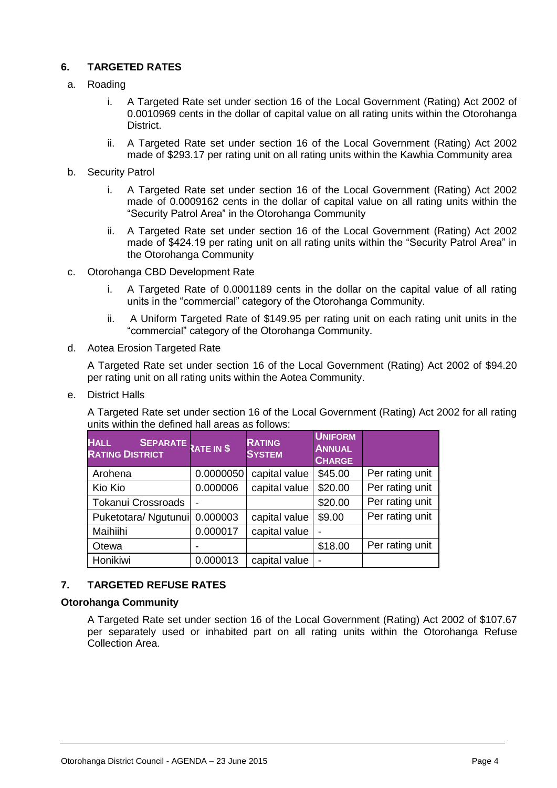#### **6. TARGETED RATES**

#### a. Roading

- i. A Targeted Rate set under section 16 of the Local Government (Rating) Act 2002 of 0.0010969 cents in the dollar of capital value on all rating units within the Otorohanga District.
- ii. A Targeted Rate set under section 16 of the Local Government (Rating) Act 2002 made of \$293.17 per rating unit on all rating units within the Kawhia Community area
- b. Security Patrol
	- i. A Targeted Rate set under section 16 of the Local Government (Rating) Act 2002 made of 0.0009162 cents in the dollar of capital value on all rating units within the "Security Patrol Area" in the Otorohanga Community
	- ii. A Targeted Rate set under section 16 of the Local Government (Rating) Act 2002 made of \$424.19 per rating unit on all rating units within the "Security Patrol Area" in the Otorohanga Community
- c. Otorohanga CBD Development Rate
	- i. A Targeted Rate of 0.0001189 cents in the dollar on the capital value of all rating units in the "commercial" category of the Otorohanga Community.
	- ii. A Uniform Targeted Rate of \$149.95 per rating unit on each rating unit units in the "commercial" category of the Otorohanga Community.
- d. Aotea Erosion Targeted Rate

A Targeted Rate set under section 16 of the Local Government (Rating) Act 2002 of \$94.20 per rating unit on all rating units within the Aotea Community.

e. District Halls

A Targeted Rate set under section 16 of the Local Government (Rating) Act 2002 for all rating units within the defined hall areas as follows:

| <b>HALL</b><br>SEPARATE RATE IN \$<br><b>RATING DISTRICT</b> |           | <b>RATING</b><br><b>SYSTEM</b> | <b>UNIFORM</b><br><b>ANNUAL</b><br><b>CHARGE</b> |                 |
|--------------------------------------------------------------|-----------|--------------------------------|--------------------------------------------------|-----------------|
| Arohena                                                      | 0.0000050 | capital value                  | \$45.00                                          | Per rating unit |
| Kio Kio                                                      | 0.000006  | capital value                  | \$20.00                                          | Per rating unit |
| <b>Tokanui Crossroads</b>                                    |           |                                | \$20.00                                          | Per rating unit |
| Puketotara/ Ngutunui                                         | 0.000003  | capital value                  | \$9.00                                           | Per rating unit |
| Maihiihi                                                     | 0.000017  | capital value                  |                                                  |                 |
| Otewa                                                        |           |                                | \$18.00                                          | Per rating unit |
| Honikiwi                                                     | 0.000013  | capital value                  |                                                  |                 |

#### **7. TARGETED REFUSE RATES**

#### **Otorohanga Community**

A Targeted Rate set under section 16 of the Local Government (Rating) Act 2002 of \$107.67 per separately used or inhabited part on all rating units within the Otorohanga Refuse Collection Area.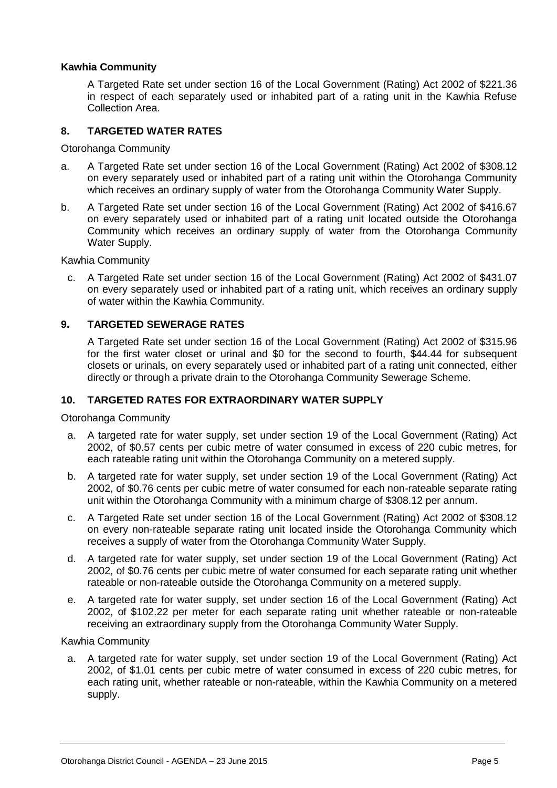#### **Kawhia Community**

A Targeted Rate set under section 16 of the Local Government (Rating) Act 2002 of \$221.36 in respect of each separately used or inhabited part of a rating unit in the Kawhia Refuse Collection Area.

#### **8. TARGETED WATER RATES**

Otorohanga Community

- a. A Targeted Rate set under section 16 of the Local Government (Rating) Act 2002 of \$308.12 on every separately used or inhabited part of a rating unit within the Otorohanga Community which receives an ordinary supply of water from the Otorohanga Community Water Supply.
- b. A Targeted Rate set under section 16 of the Local Government (Rating) Act 2002 of \$416.67 on every separately used or inhabited part of a rating unit located outside the Otorohanga Community which receives an ordinary supply of water from the Otorohanga Community Water Supply.

Kawhia Community

c. A Targeted Rate set under section 16 of the Local Government (Rating) Act 2002 of \$431.07 on every separately used or inhabited part of a rating unit, which receives an ordinary supply of water within the Kawhia Community.

#### **9. TARGETED SEWERAGE RATES**

A Targeted Rate set under section 16 of the Local Government (Rating) Act 2002 of \$315.96 for the first water closet or urinal and \$0 for the second to fourth, \$44.44 for subsequent closets or urinals, on every separately used or inhabited part of a rating unit connected, either directly or through a private drain to the Otorohanga Community Sewerage Scheme.

#### **10. TARGETED RATES FOR EXTRAORDINARY WATER SUPPLY**

Otorohanga Community

- a. A targeted rate for water supply, set under section 19 of the Local Government (Rating) Act 2002, of \$0.57 cents per cubic metre of water consumed in excess of 220 cubic metres, for each rateable rating unit within the Otorohanga Community on a metered supply.
- b. A targeted rate for water supply, set under section 19 of the Local Government (Rating) Act 2002, of \$0.76 cents per cubic metre of water consumed for each non-rateable separate rating unit within the Otorohanga Community with a minimum charge of \$308.12 per annum.
- c. A Targeted Rate set under section 16 of the Local Government (Rating) Act 2002 of \$308.12 on every non-rateable separate rating unit located inside the Otorohanga Community which receives a supply of water from the Otorohanga Community Water Supply.
- d. A targeted rate for water supply, set under section 19 of the Local Government (Rating) Act 2002, of \$0.76 cents per cubic metre of water consumed for each separate rating unit whether rateable or non-rateable outside the Otorohanga Community on a metered supply.
- e. A targeted rate for water supply, set under section 16 of the Local Government (Rating) Act 2002, of \$102.22 per meter for each separate rating unit whether rateable or non-rateable receiving an extraordinary supply from the Otorohanga Community Water Supply.

#### Kawhia Community

a. A targeted rate for water supply, set under section 19 of the Local Government (Rating) Act 2002, of \$1.01 cents per cubic metre of water consumed in excess of 220 cubic metres, for each rating unit, whether rateable or non-rateable, within the Kawhia Community on a metered supply.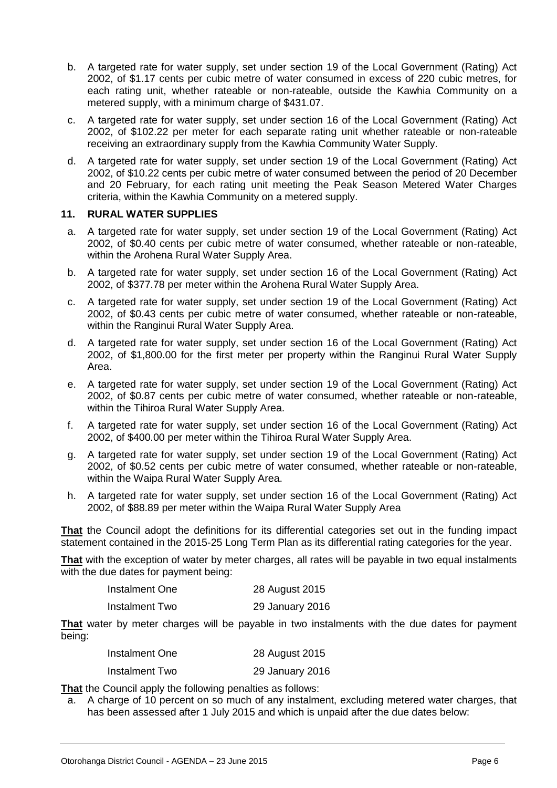- b. A targeted rate for water supply, set under section 19 of the Local Government (Rating) Act 2002, of \$1.17 cents per cubic metre of water consumed in excess of 220 cubic metres, for each rating unit, whether rateable or non-rateable, outside the Kawhia Community on a metered supply, with a minimum charge of \$431.07.
- c. A targeted rate for water supply, set under section 16 of the Local Government (Rating) Act 2002, of \$102.22 per meter for each separate rating unit whether rateable or non-rateable receiving an extraordinary supply from the Kawhia Community Water Supply.
- d. A targeted rate for water supply, set under section 19 of the Local Government (Rating) Act 2002, of \$10.22 cents per cubic metre of water consumed between the period of 20 December and 20 February, for each rating unit meeting the Peak Season Metered Water Charges criteria, within the Kawhia Community on a metered supply.

#### **11. RURAL WATER SUPPLIES**

- a. A targeted rate for water supply, set under section 19 of the Local Government (Rating) Act 2002, of \$0.40 cents per cubic metre of water consumed, whether rateable or non-rateable, within the Arohena Rural Water Supply Area.
- b. A targeted rate for water supply, set under section 16 of the Local Government (Rating) Act 2002, of \$377.78 per meter within the Arohena Rural Water Supply Area.
- c. A targeted rate for water supply, set under section 19 of the Local Government (Rating) Act 2002, of \$0.43 cents per cubic metre of water consumed, whether rateable or non-rateable, within the Ranginui Rural Water Supply Area.
- d. A targeted rate for water supply, set under section 16 of the Local Government (Rating) Act 2002, of \$1,800.00 for the first meter per property within the Ranginui Rural Water Supply Area.
- e. A targeted rate for water supply, set under section 19 of the Local Government (Rating) Act 2002, of \$0.87 cents per cubic metre of water consumed, whether rateable or non-rateable, within the Tihiroa Rural Water Supply Area.
- f. A targeted rate for water supply, set under section 16 of the Local Government (Rating) Act 2002, of \$400.00 per meter within the Tihiroa Rural Water Supply Area.
- g. A targeted rate for water supply, set under section 19 of the Local Government (Rating) Act 2002, of \$0.52 cents per cubic metre of water consumed, whether rateable or non-rateable, within the Waipa Rural Water Supply Area.
- h. A targeted rate for water supply, set under section 16 of the Local Government (Rating) Act 2002, of \$88.89 per meter within the Waipa Rural Water Supply Area

**That** the Council adopt the definitions for its differential categories set out in the funding impact statement contained in the 2015-25 Long Term Plan as its differential rating categories for the year.

**That** with the exception of water by meter charges, all rates will be payable in two equal instalments with the due dates for payment being:

| Instalment One | 28 August 2015  |
|----------------|-----------------|
| Instalment Two | 29 January 2016 |

**That** water by meter charges will be payable in two instalments with the due dates for payment being:

| Instalment One | 28 August 2015  |
|----------------|-----------------|
| Instalment Two | 29 January 2016 |

**That** the Council apply the following penalties as follows:

a. A charge of 10 percent on so much of any instalment, excluding metered water charges, that has been assessed after 1 July 2015 and which is unpaid after the due dates below: